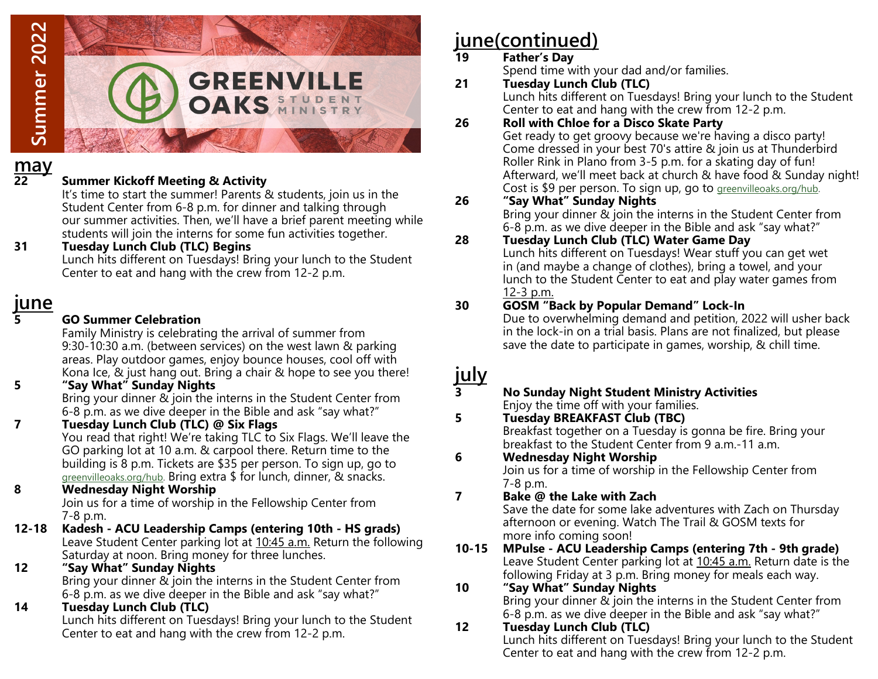

# **may**

#### **22 Summer Kickoff Meeting & Activity**

It's time to start the summer! Parents & students, join us in the Student Center from 6-8 p.m. for dinner and talking through our summer activities. Then, we'll have a brief parent meeting while students will join the interns for some fun activities together.

**31 Tuesday Lunch Club (TLC) Begins** Lunch hits different on Tuesdays! Bring your lunch to the Student Center to eat and hang with the crew from 12-2 p.m.

## **june**

**5 GO Summer Celebration**

Family Ministry is celebrating the arrival of summer from 9:30-10:30 a.m. (between services) on the west lawn & parking areas. Play outdoor games, enjoy bounce houses, cool off with Kona Ice, & just hang out. Bring a chair & hope to see you there!

- **5 "Say What" Sunday Nights** Bring your dinner & join the interns in the Student Center from 6-8 p.m. as we dive deeper in the Bible and ask "say what?"
- **7 Tuesday Lunch Club (TLC) @ Six Flags**

You read that right! We're taking TLC to Six Flags. We'll leave the GO parking lot at 10 a.m. & carpool there. Return time to the building is 8 p.m. Tickets are \$35 per person. To sign up, go to [greenvilleoaks.org/hub.](http://www.greenvilleoaks.org/hub) Bring extra \$ for lunch, dinner, & snacks.

**8 Wednesday Night Worship**

Join us for a time of worship in the Fellowship Center from 7-8 p.m.

- **12-18 Kadesh - ACU Leadership Camps (entering 10th - HS grads)** Leave Student Center parking lot at 10:45 a.m. Return the following Saturday at noon. Bring money for three lunches.
- **12 "Say What" Sunday Nights** Bring your dinner & join the interns in the Student Center from
	- 6-8 p.m. as we dive deeper in the Bible and ask "say what?"
- **14 Tuesday Lunch Club (TLC)**

Lunch hits different on Tuesdays! Bring your lunch to the Student Center to eat and hang with the crew from 12-2 p.m.

# **june(continued)**

# **19 Father's Day**

- Spend time with your dad and/or families.
- **21 Tuesday Lunch Club (TLC)** Lunch hits different on Tuesdays! Bring your lunch to the Student Center to eat and hang with the crew from 12-2 p.m.
- **26 Roll with Chloe for a Disco Skate Party**

Get ready to get groovy because we're having a disco party! Come dressed in your best 70's attire & join us at Thunderbird Roller Rink in Plano from 3-5 p.m. for a skating day of fun! Afterward, we'll meet back at church & have food & Sunday night! Cost is \$9 per person. To sign up, go to [greenvilleoaks.org/hub.](http://www.greenvilleoaks.org/hub)

### **26 "Say What" Sunday Nights**

Bring your dinner & join the interns in the Student Center from 6-8 p.m. as we dive deeper in the Bible and ask "say what?"

### **28 Tuesday Lunch Club (TLC) Water Game Day**

Lunch hits different on Tuesdays! Wear stuff you can get wet in (and maybe a change of clothes), bring a towel, and your lunch to the Student Center to eat and play water games from 12-3 p.m.

### **30 GOSM "Back by Popular Demand" Lock-In**

Due to overwhelming demand and petition, 2022 will usher back in the lock-in on a trial basis. Plans are not finalized, but please save the date to participate in games, worship, & chill time.

# **july**

**3 No Sunday Night Student Ministry Activities**  Enjoy the time off with your families.

### **5 Tuesday BREAKFAST Club (TBC)**

Breakfast together on a Tuesday is gonna be fire. Bring your breakfast to the Student Center from 9 a.m.-11 a.m.

#### **6 Wednesday Night Worship**

Join us for a time of worship in the Fellowship Center from 7-8 p.m.

**7 Bake @ the Lake with Zach**

Save the date for some lake adventures with Zach on Thursday afternoon or evening. Watch The Trail & GOSM texts for more info coming soon!

**10-15 MPulse - ACU Leadership Camps (entering 7th - 9th grade)** Leave Student Center parking lot at 10:45 a.m. Return date is the following Friday at 3 p.m. Bring money for meals each way.

## **10 "Say What" Sunday Nights**

Bring your dinner & join the interns in the Student Center from 6-8 p.m. as we dive deeper in the Bible and ask "say what?"

### **12 Tuesday Lunch Club (TLC)**

Lunch hits different on Tuesdays! Bring your lunch to the Student Center to eat and hang with the crew from 12-2 p.m.